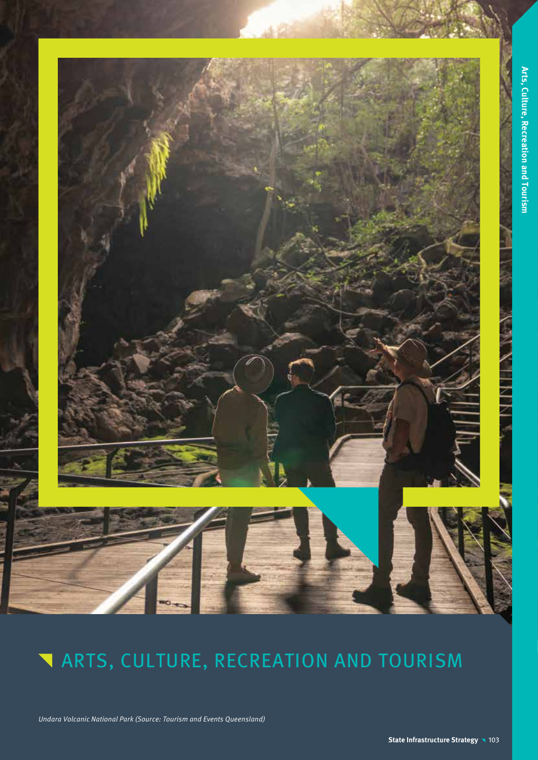

Undara Volcanic National Park (Source: Tourism and Events Queensland)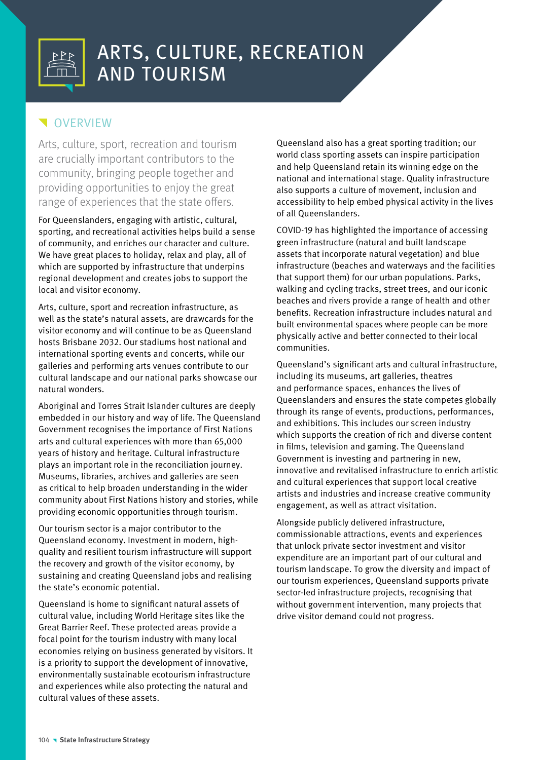

# **VERVIEW**

Arts, culture, sport, recreation and tourism are crucially important contributors to the community, bringing people together and providing opportunities to enjoy the great range of experiences that the state offers.

For Queenslanders, engaging with artistic, cultural, sporting, and recreational activities helps build a sense of community, and enriches our character and culture. We have great places to holiday, relax and play, all of which are supported by infrastructure that underpins regional development and creates jobs to support the local and visitor economy.

Arts, culture, sport and recreation infrastructure, as well as the state's natural assets, are drawcards for the visitor economy and will continue to be as Queensland hosts Brisbane 2032. Our stadiums host national and international sporting events and concerts, while our galleries and performing arts venues contribute to our cultural landscape and our national parks showcase our natural wonders.

Aboriginal and Torres Strait Islander cultures are deeply embedded in our history and way of life. The Queensland Government recognises the importance of First Nations arts and cultural experiences with more than 65,000 years of history and heritage. Cultural infrastructure plays an important role in the reconciliation journey. Museums, libraries, archives and galleries are seen as critical to help broaden understanding in the wider community about First Nations history and stories, while providing economic opportunities through tourism.

Our tourism sector is a major contributor to the Queensland economy. Investment in modern, highquality and resilient tourism infrastructure will support the recovery and growth of the visitor economy, by sustaining and creating Queensland jobs and realising the state's economic potential.

Queensland is home to significant natural assets of cultural value, including World Heritage sites like the Great Barrier Reef. These protected areas provide a focal point for the tourism industry with many local economies relying on business generated by visitors. It is a priority to support the development of innovative, environmentally sustainable ecotourism infrastructure and experiences while also protecting the natural and cultural values of these assets.

Queensland also has a great sporting tradition; our world class sporting assets can inspire participation and help Queensland retain its winning edge on the national and international stage. Quality infrastructure also supports a culture of movement, inclusion and accessibility to help embed physical activity in the lives of all Queenslanders.

COVID-19 has highlighted the importance of accessing green infrastructure (natural and built landscape assets that incorporate natural vegetation) and blue infrastructure (beaches and waterways and the facilities that support them) for our urban populations. Parks, walking and cycling tracks, street trees, and our iconic beaches and rivers provide a range of health and other benefits. Recreation infrastructure includes natural and built environmental spaces where people can be more physically active and better connected to their local communities.

Queensland's significant arts and cultural infrastructure, including its museums, art galleries, theatres and performance spaces, enhances the lives of Queenslanders and ensures the state competes globally through its range of events, productions, performances, and exhibitions. This includes our screen industry which supports the creation of rich and diverse content in films, television and gaming. The Queensland Government is investing and partnering in new, innovative and revitalised infrastructure to enrich artistic and cultural experiences that support local creative artists and industries and increase creative community engagement, as well as attract visitation.

Alongside publicly delivered infrastructure, commissionable attractions, events and experiences that unlock private sector investment and visitor expenditure are an important part of our cultural and tourism landscape. To grow the diversity and impact of our tourism experiences, Queensland supports private sector-led infrastructure projects, recognising that without government intervention, many projects that drive visitor demand could not progress.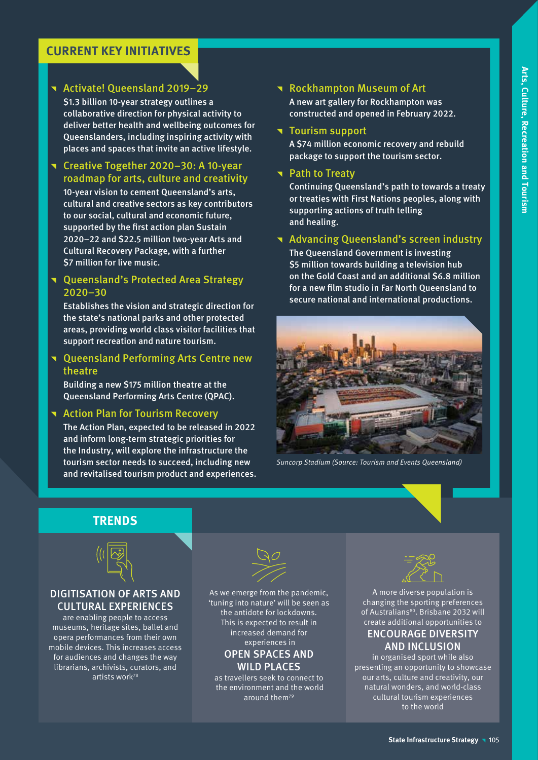# **CURRENT KEY INITIATIVES**

# **T** Activate! Queensland 2019–29

\$1.3 billion 10-year strategy outlines a collaborative direction for physical activity to deliver better health and wellbeing outcomes for Queenslanders, including inspiring activity with places and spaces that invite an active lifestyle.

# **T** Creative Together 2020–30: A 10-year roadmap for arts, culture and creativity

10-year vision to cement Queensland's arts, cultural and creative sectors as key contributors to our social, cultural and economic future, supported by the first action plan Sustain 2020–22 and \$22.5 million two-year Arts and Cultural Recovery Package, with a further S7 million for live music.

# **T** Queensland's Protected Area Strategy 2020–30

Establishes the vision and strategic direction for the state's national parks and other protected areas, providing world class visitor facilities that support recreation and nature tourism.

# **T** Queensland Performing Arts Centre new theatre

Building a new \$175 million theatre at the Queensland Performing Arts Centre (QPAC).

# **T** Action Plan for Tourism Recovery

The Action Plan, expected to be released in 2022 and inform long-term strategic priorities for the Industry, will explore the infrastructure the tourism sector needs to succeed, including new and revitalised tourism product and experiences.

# **Rockhampton Museum of Art**

A new art gallery for Rockhampton was constructed and opened in February 2022.

## **Tourism support**

A \$74 million economic recovery and rebuild package to support the tourism sector.

# **T** Path to Treaty

Continuing Queensland's path to towards a treaty or treaties with First Nations peoples, along with supporting actions of truth telling and healing.

## **T** Advancing Queensland's screen industry

The Queensland Government is investing \$5 million towards building a television hub on the Gold Coast and an additional \$6.8 million for a new film studio in Far North Queensland to secure national and international productions.



Suncorp Stadium (Source: Tourism and Events Queensland)





# DIGITISATION OF ARTS AND CULTURAL EXPERIENCES

are enabling people to access museums, heritage sites, ballet and opera performances from their own mobile devices. This increases access for audiences and changes the way librarians, archivists, curators, and artists work78



As we emerge from the pandemic, 'tuning into nature' will be seen as the antidote for lockdowns. This is expected to result in increased demand for experiences in OPEN SPACES AND WILD PLACES

as travellers seek to connect to the environment and the world around them<sup>79</sup>



A more diverse population is changing the sporting preferences of Australians<sup>80</sup>. Brisbane 2032 will create additional opportunities to

# ENCOURAGE DIVERSITY AND INCLUSION

in organised sport while also presenting an opportunity to showcase our arts, culture and creativity, our natural wonders, and world-class cultural tourism experiences to the world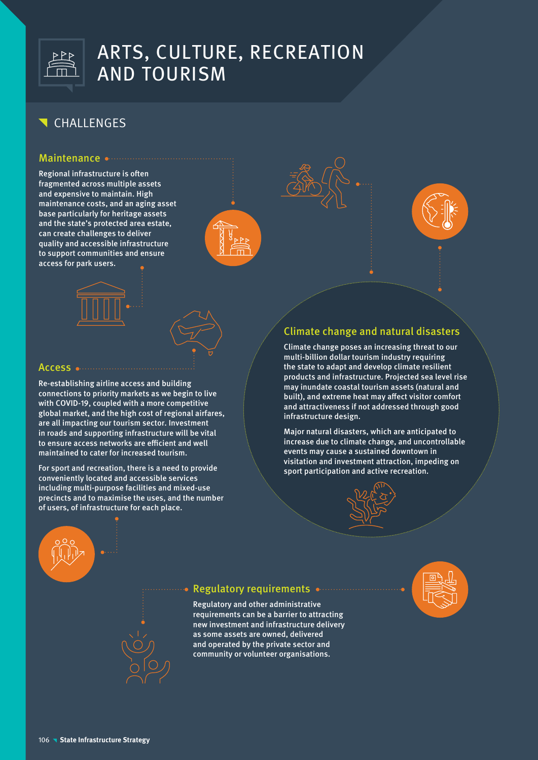

# CHALLENGES

## Maintenance ..............

Regional infrastructure is often fragmented across multiple assets and expensive to maintain. High maintenance costs, and an aging asset base particularly for heritage assets and the state's protected area estate, can create challenges to deliver quality and accessible infrastructure to support communities and ensure access for park users.







Re-establishing airline access and building connections to priority markets as we begin to live with COVID-19, coupled with a more competitive global market, and the high cost of regional airfares, are all impacting our tourism sector. Investment in roads and supporting infrastructure will be vital to ensure access networks are efficient and well maintained to cater for increased tourism.

For sport and recreation, there is a need to provide conveniently located and accessible services including multi-purpose facilities and mixed-use precincts and to maximise the uses, and the number of users, of infrastructure for each place.



# Climate change and natural disasters

Climate change poses an increasing threat to our multi-billion dollar tourism industry requiring the state to adapt and develop climate resilient products and infrastructure. Projected sea level rise may inundate coastal tourism assets (natural and built), and extreme heat may affect visitor comfort and attractiveness if not addressed through good infrastructure design.

Major natural disasters, which are anticipated to increase due to climate change, and uncontrollable events may cause a sustained downtown in visitation and investment attraction, impeding on sport participation and active recreation.



# Regulatory requirements

Regulatory and other administrative requirements can be a barrier to attracting new investment and infrastructure delivery as some assets are owned, delivered and operated by the private sector and community or volunteer organisations.

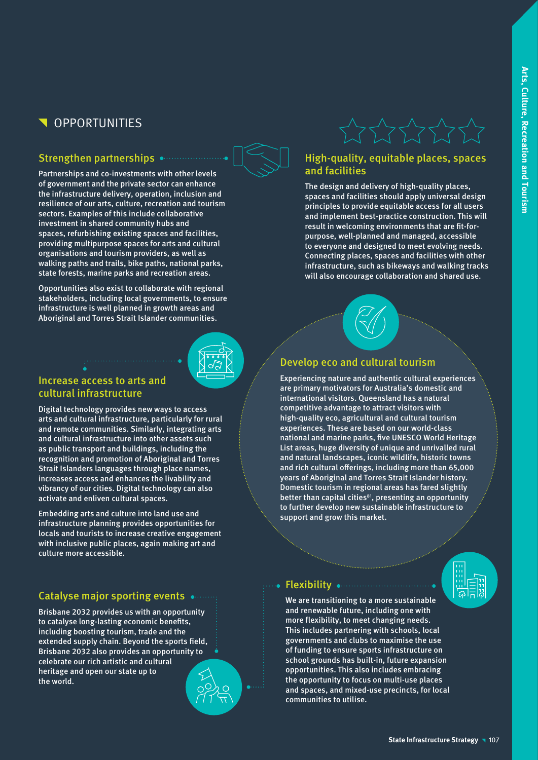# **N** OPPORTUNITIES

# Strengthen partnerships

Partnerships and co-investments with other levels of government and the private sector can enhance the infrastructure delivery, operation, inclusion and resilience of our arts, culture, recreation and tourism sectors. Examples of this include collaborative investment in shared community hubs and spaces, refurbishing existing spaces and facilities, providing multipurpose spaces for arts and cultural organisations and tourism providers, as well as walking paths and trails, bike paths, national parks, state forests, marine parks and recreation areas.

Opportunities also exist to collaborate with regional stakeholders, including local governments, to ensure infrastructure is well planned in growth areas and Aboriginal and Torres Strait Islander communities.

# Increase access to arts and cultural infrastructure

Digital technology provides new ways to access arts and cultural infrastructure, particularly for rural and remote communities. Similarly, integrating arts and cultural infrastructure into other assets such as public transport and buildings, including the recognition and promotion of Aboriginal and Torres Strait Islanders languages through place names, increases access and enhances the livability and vibrancy of our cities. Digital technology can also activate and enliven cultural spaces.

Embedding arts and culture into land use and infrastructure planning provides opportunities for locals and tourists to increase creative engagement with inclusive public places, again making art and culture more accessible.

# Catalyse major sporting events  $\bullet$  .......

Brisbane 2032 provides us with an opportunity to catalyse long-lasting economic benefits, including boosting tourism, trade and the extended supply chain. Beyond the sports field, Brisbane 2032 also provides an opportunity to celebrate our rich artistic and cultural heritage and open our state up to the world.

# High-quality, equitable places, spaces and facilities

The design and delivery of high-quality places, spaces and facilities should apply universal design principles to provide equitable access for all users and implement best-practice construction. This will result in welcoming environments that are fit-forpurpose, well-planned and managed, accessible to everyone and designed to meet evolving needs. Connecting places, spaces and facilities with other infrastructure, such as bikeways and walking tracks will also encourage collaboration and shared use.



# Develop eco and cultural tourism

Experiencing nature and authentic cultural experiences are primary motivators for Australia's domestic and international visitors. Queensland has a natural competitive advantage to attract visitors with high-quality eco, agricultural and cultural tourism experiences. These are based on our world-class national and marine parks, five UNESCO World Heritage List areas, huge diversity of unique and unrivalled rural and natural landscapes, iconic wildlife, historic towns and rich cultural offerings, including more than 65,000 years of Aboriginal and Torres Strait Islander history. Domestic tourism in regional areas has fared slightly better than capital cities<sup>81</sup>, presenting an opportunity to further develop new sustainable infrastructure to support and grow this market.

## Flexibility .............................

We are transitioning to a more sustainable and renewable future, including one with more flexibility, to meet changing needs. This includes partnering with schools, local governments and clubs to maximise the use of funding to ensure sports infrastructure on school grounds has built-in, future expansion opportunities. This also includes embracing the opportunity to focus on multi-use places and spaces, and mixed-use precincts, for local communities to utilise.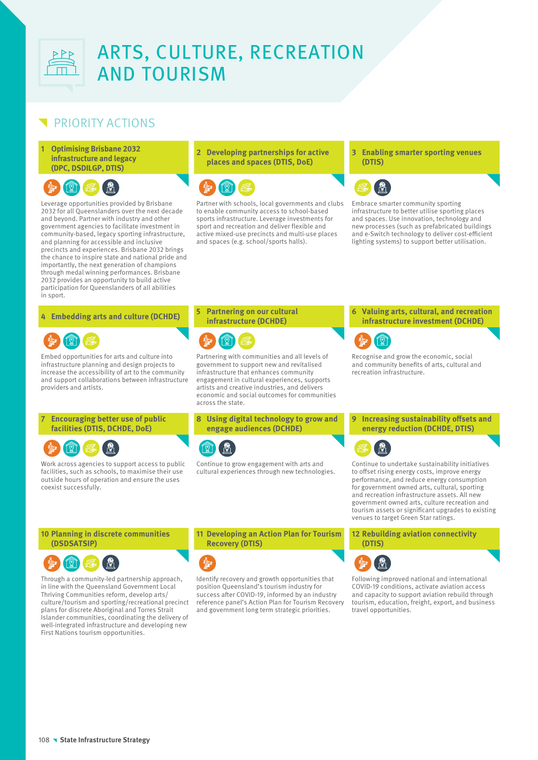

# PRIORITY ACTIONS

**1 Optimising Brisbane 2032 infrastructure and legacy (DPC, DSDILGP, DTIS)**



Leverage opportunities provided by Brisbane 2032 for all Queenslanders over the next decade and beyond. Partner with industry and other government agencies to facilitate investment in community-based, legacy sporting infrastructure, and planning for accessible and inclusive precincts and experiences. Brisbane 2032 brings the chance to inspire state and national pride and importantly, the next generation of champions through medal winning performances. Brisbane 2032 provides an opportunity to build active participation for Queenslanders of all abilities in sport.

# $\textcircled{r}$

Embed opportunities for arts and culture into infrastructure planning and design projects to increase the accessibility of art to the community and support collaborations between infrastructure providers and artists.

## **7 Encouraging better use of public facilities (DTIS, DCHDE, DoE)**



Work across agencies to support access to public facilities, such as schools, to maximise their use outside hours of operation and ensure the uses coexist successfully.

# **2 Developing partnerships for active places and spaces (DTIS, DoE)**



Partner with schools, local governments and clubs to enable community access to school-based sports infrastructure. Leverage investments for sport and recreation and deliver flexible and active mixed-use precincts and multi-use places and spaces (e.g. school/sports halls).

#### **3 Enabling smarter sporting venues (DTIS)**



Embrace smarter community sporting infrastructure to better utilise sporting places and spaces. Use innovation, technology and new processes (such as prefabricated buildings and e-Switch technology to deliver cost-efficient lighting systems) to support better utilisation.

#### **<sup>4</sup> Embedding arts and culture (DCHDE) <sup>5</sup> Partnering on our cultural infrastructure (DCHDE)**



Partnering with communities and all levels of government to support new and revitalised infrastructure that enhances community engagement in cultural experiences, supports artists and creative industries, and delivers economic and social outcomes for communities across the state.

### **8 Using digital technology to grow and engage audiences (DCHDE)**



Continue to grow engagement with arts and cultural experiences through new technologies. **infrastructure investment (DCHDE)** Q,

**6 Valuing arts, cultural, and recreation** 

Recognise and grow the economic, social and community benefits of arts, cultural and recreation infrastructure.

**9 Increasing sustainability offsets and energy reduction (DCHDE, DTIS)**



Continue to undertake sustainability initiatives to offset rising energy costs, improve energy performance, and reduce energy consumption for government owned arts, cultural, sporting and recreation infrastructure assets. All new government owned arts, culture recreation and tourism assets or significant upgrades to existing venues to target Green Star ratings.

### **10 Planning in discrete communities (DSDSATSIP)**



Through a community-led partnership approach, in line with the Queensland Government Local Thriving Communities reform, develop arts/ culture/tourism and sporting/recreational precinct plans for discrete Aboriginal and Torres Strait Islander communities, coordinating the delivery of well-integrated infrastructure and developing new First Nations tourism opportunities.

**11 Developing an Action Plan for Tourism Recovery (DTIS)**



Identify recovery and growth opportunities that position Queensland's tourism industry for success after COVID-19, informed by an industry reference panel's Action Plan for Tourism Recovery and government long term strategic priorities.

**12 Rebuilding aviation connectivity (DTIS)**



Following improved national and international COVID-19 conditions, activate aviation access and capacity to support aviation rebuild through tourism, education, freight, export, and business travel opportunities.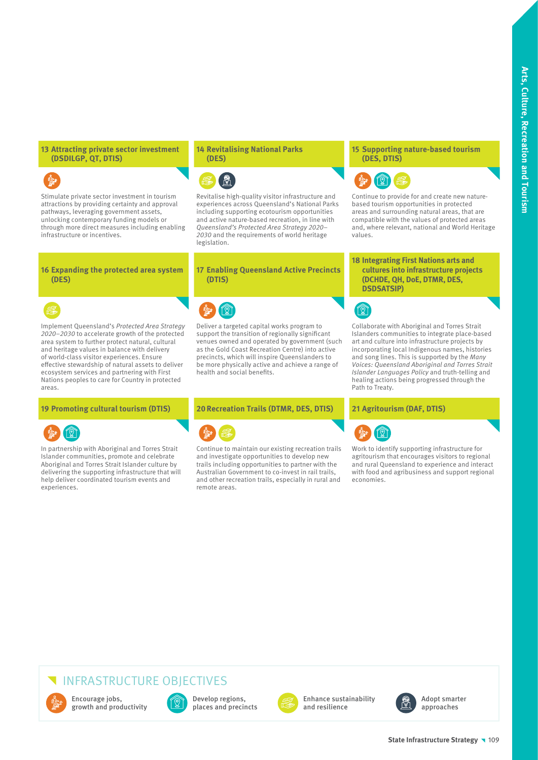### **13 Attracting private sector investment (DSDILGP, QT, DTIS)**

Stimulate private sector investment in tourism attractions by providing certainty and approval pathways, leveraging government assets, unlocking contemporary funding models or through more direct measures including enabling infrastructure or incentives.

#### **14 Revitalising National Parks (DES)**



Revitalise high-quality visitor infrastructure and experiences across Queensland's National Parks including supporting ecotourism opportunities and active nature-based recreation, in line with Queensland's Protected Area Strategy 2020– 2030 and the requirements of world heritage legislation.

#### **16 Expanding the protected area system (DES)**



Implement Queensland's Protected Area Strategy 2020–2030 to accelerate growth of the protected area system to further protect natural, cultural and heritage values in balance with delivery of world-class visitor experiences. Ensure effective stewardship of natural assets to deliver ecosystem services and partnering with First Nations peoples to care for Country in protected areas.



In partnership with Aboriginal and Torres Strait Islander communities, promote and celebrate Aboriginal and Torres Strait Islander culture by delivering the supporting infrastructure that will help deliver coordinated tourism events and experiences.

### **17 Enabling Queensland Active Precincts (DTIS)**



Deliver a targeted capital works program to support the transition of regionally significant venues owned and operated by government (such as the Gold Coast Recreation Centre) into active precincts, which will inspire Queenslanders to be more physically active and achieve a range of health and social benefits.

**19 Promoting cultural tourism (DTIS) 20Recreation Trails (DTMR, DES, DTIS) 21 Agritourism (DAF, DTIS)**



Continue to maintain our existing recreation trails and investigate opportunities to develop new trails including opportunities to partner with the Australian Government to co-invest in rail trails, and other recreation trails, especially in rural and remote areas.

### **15 Supporting nature-based tourism (DES, DTIS)**



Continue to provide for and create new naturebased tourism opportunities in protected areas and surrounding natural areas, that are compatible with the values of protected areas and, where relevant, national and World Heritage values.

### **18 Integrating First Nations arts and cultures into infrastructure projects (DCHDE, QH, DoE, DTMR, DES, DSDSATSIP)**



Collaborate with Aboriginal and Torres Strait Islanders communities to integrate place-based art and culture into infrastructure projects by incorporating local Indigenous names, histories and song lines. This is supported by the Many Voices: Queensland Aboriginal and Torres Strait Islander Languages Policy and truth-telling and healing actions being progressed through the Path to Treaty.



Work to identify supporting infrastructure for agritourism that encourages visitors to regional and rural Queensland to experience and interact with food and agribusiness and support regional economies.

# INFRASTRUCTURE OBJECTIVES



Encourage jobs, growth and productivity



Develop regions, places and precincts



Enhance sustainability and resilience



Adopt smarter approaches